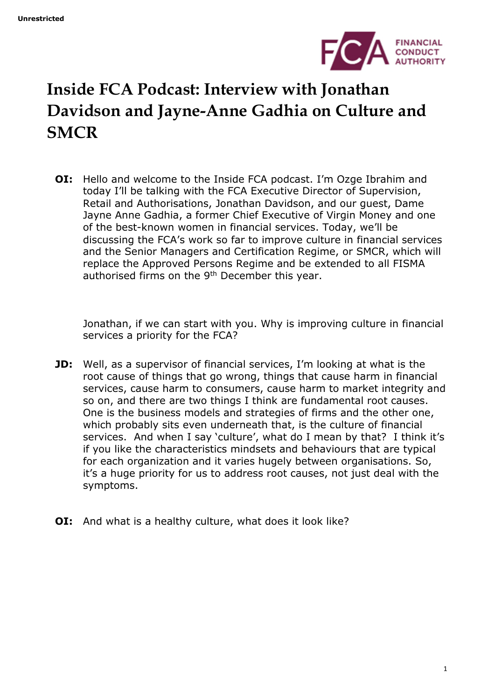

## **Inside FCA Podcast: Interview with Jonathan Davidson and Jayne-Anne Gadhia on Culture and SMCR**

**OI:** Hello and welcome to the Inside FCA podcast. I'm Ozge Ibrahim and today I'll be talking with the FCA Executive Director of Supervision, Retail and Authorisations, Jonathan Davidson, and our guest, Dame Jayne Anne Gadhia, a former Chief Executive of Virgin Money and one of the best-known women in financial services. Today, we'll be discussing the FCA's work so far to improve culture in financial services and the Senior Managers and Certification Regime, or SMCR, which will replace the Approved Persons Regime and be extended to all FISMA authorised firms on the 9<sup>th</sup> December this year.

Jonathan, if we can start with you. Why is improving culture in financial services a priority for the FCA?

- **JD:** Well, as a supervisor of financial services, I'm looking at what is the root cause of things that go wrong, things that cause harm in financial services, cause harm to consumers, cause harm to market integrity and so on, and there are two things I think are fundamental root causes. One is the business models and strategies of firms and the other one, which probably sits even underneath that, is the culture of financial services. And when I say 'culture', what do I mean by that? I think it's if you like the characteristics mindsets and behaviours that are typical for each organization and it varies hugely between organisations. So, it's a huge priority for us to address root causes, not just deal with the symptoms.
- **OI:** And what is a healthy culture, what does it look like?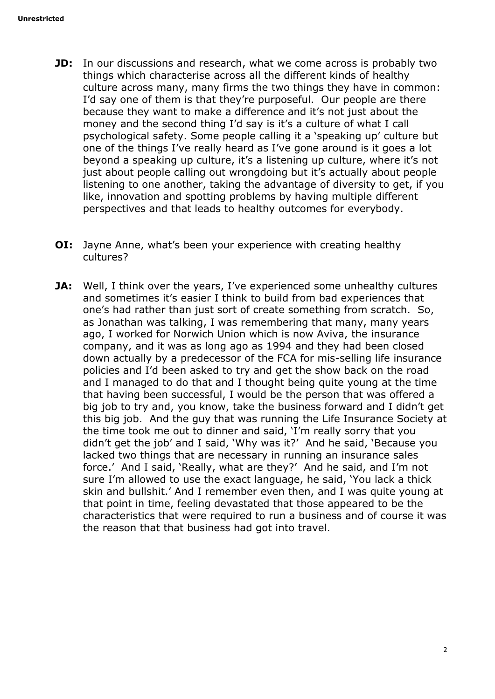- **JD:** In our discussions and research, what we come across is probably two things which characterise across all the different kinds of healthy culture across many, many firms the two things they have in common: I'd say one of them is that they're purposeful. Our people are there because they want to make a difference and it's not just about the money and the second thing I'd say is it's a culture of what I call psychological safety. Some people calling it a 'speaking up' culture but one of the things I've really heard as I've gone around is it goes a lot beyond a speaking up culture, it's a listening up culture, where it's not just about people calling out wrongdoing but it's actually about people listening to one another, taking the advantage of diversity to get, if you like, innovation and spotting problems by having multiple different perspectives and that leads to healthy outcomes for everybody.
- **OI:** Jayne Anne, what's been your experience with creating healthy cultures?
- **JA:** Well, I think over the years, I've experienced some unhealthy cultures and sometimes it's easier I think to build from bad experiences that one's had rather than just sort of create something from scratch. So, as Jonathan was talking, I was remembering that many, many years ago, I worked for Norwich Union which is now Aviva, the insurance company, and it was as long ago as 1994 and they had been closed down actually by a predecessor of the FCA for mis-selling life insurance policies and I'd been asked to try and get the show back on the road and I managed to do that and I thought being quite young at the time that having been successful, I would be the person that was offered a big job to try and, you know, take the business forward and I didn't get this big job. And the guy that was running the Life Insurance Society at the time took me out to dinner and said, 'I'm really sorry that you didn't get the job' and I said, 'Why was it?' And he said, 'Because you lacked two things that are necessary in running an insurance sales force.' And I said, 'Really, what are they?' And he said, and I'm not sure I'm allowed to use the exact language, he said, 'You lack a thick skin and bullshit.' And I remember even then, and I was quite young at that point in time, feeling devastated that those appeared to be the characteristics that were required to run a business and of course it was the reason that that business had got into travel.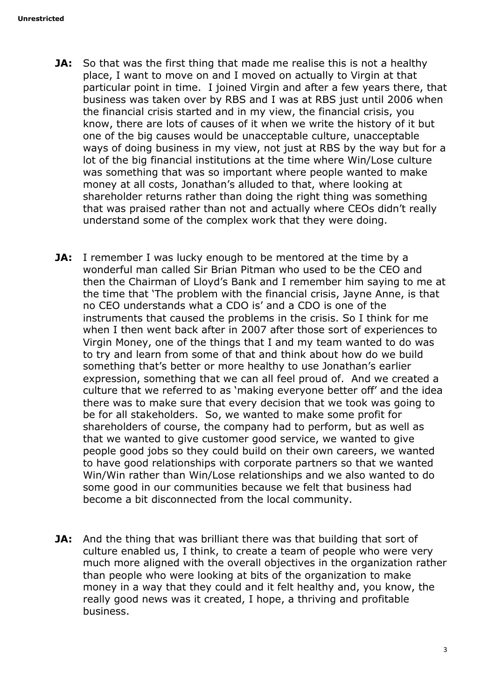- **JA:** So that was the first thing that made me realise this is not a healthy place, I want to move on and I moved on actually to Virgin at that particular point in time. I joined Virgin and after a few years there, that business was taken over by RBS and I was at RBS just until 2006 when the financial crisis started and in my view, the financial crisis, you know, there are lots of causes of it when we write the history of it but one of the big causes would be unacceptable culture, unacceptable ways of doing business in my view, not just at RBS by the way but for a lot of the big financial institutions at the time where Win/Lose culture was something that was so important where people wanted to make money at all costs, Jonathan's alluded to that, where looking at shareholder returns rather than doing the right thing was something that was praised rather than not and actually where CEOs didn't really understand some of the complex work that they were doing.
- **JA:** I remember I was lucky enough to be mentored at the time by a wonderful man called Sir Brian Pitman who used to be the CEO and then the Chairman of Lloyd's Bank and I remember him saying to me at the time that 'The problem with the financial crisis, Jayne Anne, is that no CEO understands what a CDO is' and a CDO is one of the instruments that caused the problems in the crisis. So I think for me when I then went back after in 2007 after those sort of experiences to Virgin Money, one of the things that I and my team wanted to do was to try and learn from some of that and think about how do we build something that's better or more healthy to use Jonathan's earlier expression, something that we can all feel proud of. And we created a culture that we referred to as 'making everyone better off' and the idea there was to make sure that every decision that we took was going to be for all stakeholders. So, we wanted to make some profit for shareholders of course, the company had to perform, but as well as that we wanted to give customer good service, we wanted to give people good jobs so they could build on their own careers, we wanted to have good relationships with corporate partners so that we wanted Win/Win rather than Win/Lose relationships and we also wanted to do some good in our communities because we felt that business had become a bit disconnected from the local community.
- **JA:** And the thing that was brilliant there was that building that sort of culture enabled us, I think, to create a team of people who were very much more aligned with the overall objectives in the organization rather than people who were looking at bits of the organization to make money in a way that they could and it felt healthy and, you know, the really good news was it created, I hope, a thriving and profitable business.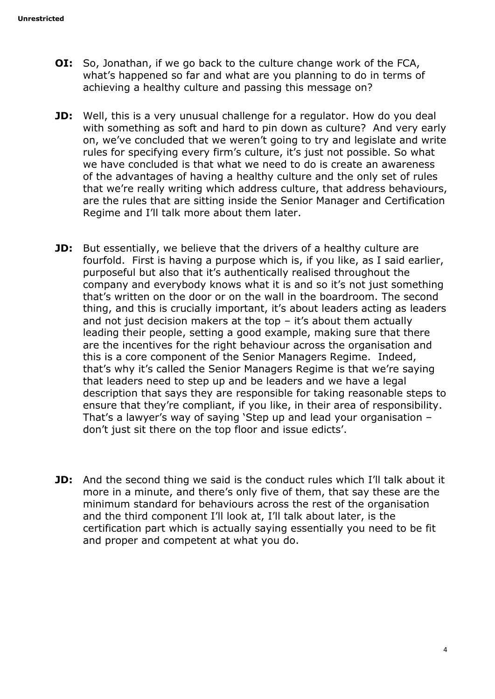- **OI:** So, Jonathan, if we go back to the culture change work of the FCA, what's happened so far and what are you planning to do in terms of achieving a healthy culture and passing this message on?
- **JD:** Well, this is a very unusual challenge for a regulator. How do you deal with something as soft and hard to pin down as culture? And very early on, we've concluded that we weren't going to try and legislate and write rules for specifying every firm's culture, it's just not possible. So what we have concluded is that what we need to do is create an awareness of the advantages of having a healthy culture and the only set of rules that we're really writing which address culture, that address behaviours, are the rules that are sitting inside the Senior Manager and Certification Regime and I'll talk more about them later.
- **JD:** But essentially, we believe that the drivers of a healthy culture are fourfold. First is having a purpose which is, if you like, as I said earlier, purposeful but also that it's authentically realised throughout the company and everybody knows what it is and so it's not just something that's written on the door or on the wall in the boardroom. The second thing, and this is crucially important, it's about leaders acting as leaders and not just decision makers at the top  $-$  it's about them actually leading their people, setting a good example, making sure that there are the incentives for the right behaviour across the organisation and this is a core component of the Senior Managers Regime. Indeed, that's why it's called the Senior Managers Regime is that we're saying that leaders need to step up and be leaders and we have a legal description that says they are responsible for taking reasonable steps to ensure that they're compliant, if you like, in their area of responsibility. That's a lawyer's way of saying 'Step up and lead your organisation – don't just sit there on the top floor and issue edicts'.
- **JD:** And the second thing we said is the conduct rules which I'll talk about it more in a minute, and there's only five of them, that say these are the minimum standard for behaviours across the rest of the organisation and the third component I'll look at, I'll talk about later, is the certification part which is actually saying essentially you need to be fit and proper and competent at what you do.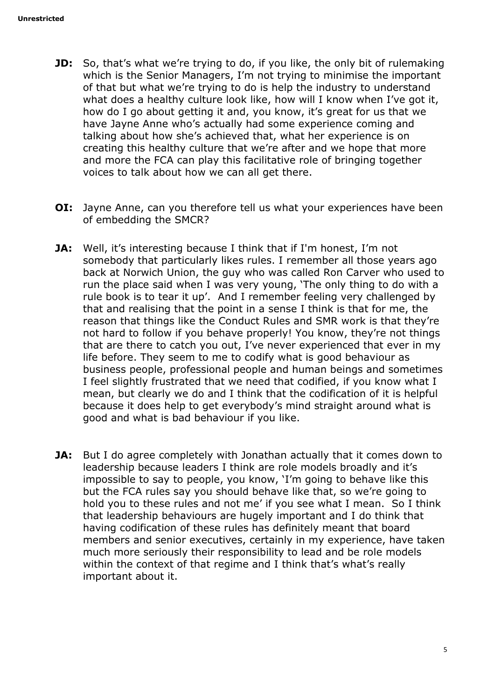- **JD:** So, that's what we're trying to do, if you like, the only bit of rulemaking which is the Senior Managers, I'm not trying to minimise the important of that but what we're trying to do is help the industry to understand what does a healthy culture look like, how will I know when I've got it, how do I go about getting it and, you know, it's great for us that we have Jayne Anne who's actually had some experience coming and talking about how she's achieved that, what her experience is on creating this healthy culture that we're after and we hope that more and more the FCA can play this facilitative role of bringing together voices to talk about how we can all get there.
- **OI:** Jayne Anne, can you therefore tell us what your experiences have been of embedding the SMCR?
- **JA:** Well, it's interesting because I think that if I'm honest, I'm not somebody that particularly likes rules. I remember all those years ago back at Norwich Union, the guy who was called Ron Carver who used to run the place said when I was very young, 'The only thing to do with a rule book is to tear it up'. And I remember feeling very challenged by that and realising that the point in a sense I think is that for me, the reason that things like the Conduct Rules and SMR work is that they're not hard to follow if you behave properly! You know, they're not things that are there to catch you out, I've never experienced that ever in my life before. They seem to me to codify what is good behaviour as business people, professional people and human beings and sometimes I feel slightly frustrated that we need that codified, if you know what I mean, but clearly we do and I think that the codification of it is helpful because it does help to get everybody's mind straight around what is good and what is bad behaviour if you like.
- **JA:** But I do agree completely with Jonathan actually that it comes down to leadership because leaders I think are role models broadly and it's impossible to say to people, you know, 'I'm going to behave like this but the FCA rules say you should behave like that, so we're going to hold you to these rules and not me' if you see what I mean. So I think that leadership behaviours are hugely important and I do think that having codification of these rules has definitely meant that board members and senior executives, certainly in my experience, have taken much more seriously their responsibility to lead and be role models within the context of that regime and I think that's what's really important about it.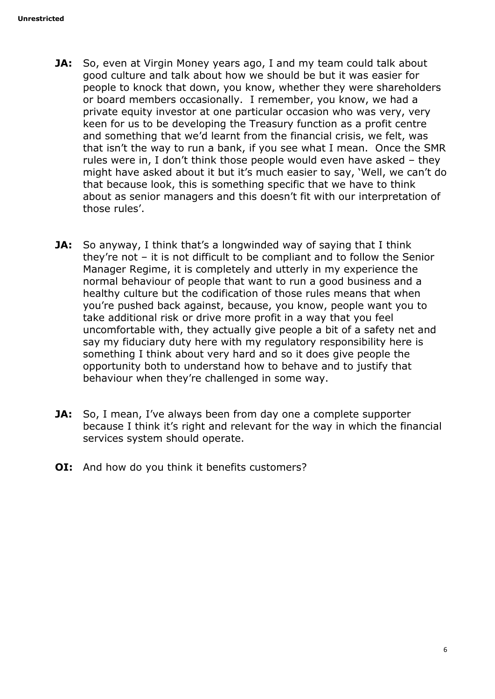- **JA:** So, even at Virgin Money years ago, I and my team could talk about good culture and talk about how we should be but it was easier for people to knock that down, you know, whether they were shareholders or board members occasionally. I remember, you know, we had a private equity investor at one particular occasion who was very, very keen for us to be developing the Treasury function as a profit centre and something that we'd learnt from the financial crisis, we felt, was that isn't the way to run a bank, if you see what I mean. Once the SMR rules were in, I don't think those people would even have asked – they might have asked about it but it's much easier to say, 'Well, we can't do that because look, this is something specific that we have to think about as senior managers and this doesn't fit with our interpretation of those rules'.
- **JA:** So anyway, I think that's a longwinded way of saying that I think they're not – it is not difficult to be compliant and to follow the Senior Manager Regime, it is completely and utterly in my experience the normal behaviour of people that want to run a good business and a healthy culture but the codification of those rules means that when you're pushed back against, because, you know, people want you to take additional risk or drive more profit in a way that you feel uncomfortable with, they actually give people a bit of a safety net and say my fiduciary duty here with my regulatory responsibility here is something I think about very hard and so it does give people the opportunity both to understand how to behave and to justify that behaviour when they're challenged in some way.
- **JA:** So, I mean, I've always been from day one a complete supporter because I think it's right and relevant for the way in which the financial services system should operate.
- **OI:** And how do you think it benefits customers?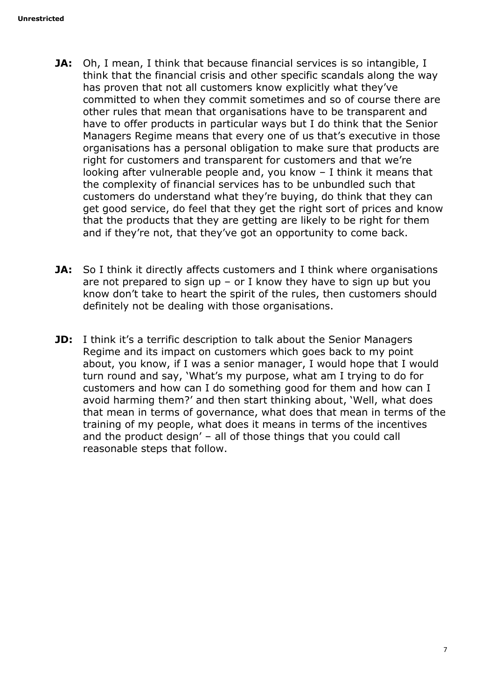- **JA:** Oh, I mean, I think that because financial services is so intangible, I think that the financial crisis and other specific scandals along the way has proven that not all customers know explicitly what they've committed to when they commit sometimes and so of course there are other rules that mean that organisations have to be transparent and have to offer products in particular ways but I do think that the Senior Managers Regime means that every one of us that's executive in those organisations has a personal obligation to make sure that products are right for customers and transparent for customers and that we're looking after vulnerable people and, you know – I think it means that the complexity of financial services has to be unbundled such that customers do understand what they're buying, do think that they can get good service, do feel that they get the right sort of prices and know that the products that they are getting are likely to be right for them and if they're not, that they've got an opportunity to come back.
- **JA:** So I think it directly affects customers and I think where organisations are not prepared to sign up – or I know they have to sign up but you know don't take to heart the spirit of the rules, then customers should definitely not be dealing with those organisations.
- **JD:** I think it's a terrific description to talk about the Senior Managers Regime and its impact on customers which goes back to my point about, you know, if I was a senior manager, I would hope that I would turn round and say, 'What's my purpose, what am I trying to do for customers and how can I do something good for them and how can I avoid harming them?' and then start thinking about, 'Well, what does that mean in terms of governance, what does that mean in terms of the training of my people, what does it means in terms of the incentives and the product design' – all of those things that you could call reasonable steps that follow.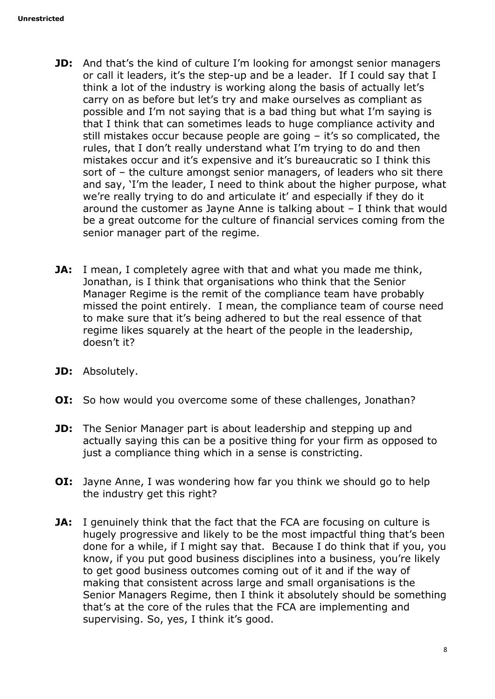- **JD:** And that's the kind of culture I'm looking for amongst senior managers or call it leaders, it's the step-up and be a leader. If I could say that I think a lot of the industry is working along the basis of actually let's carry on as before but let's try and make ourselves as compliant as possible and I'm not saying that is a bad thing but what I'm saying is that I think that can sometimes leads to huge compliance activity and still mistakes occur because people are going – it's so complicated, the rules, that I don't really understand what I'm trying to do and then mistakes occur and it's expensive and it's bureaucratic so I think this sort of – the culture amongst senior managers, of leaders who sit there and say, 'I'm the leader, I need to think about the higher purpose, what we're really trying to do and articulate it' and especially if they do it around the customer as Jayne Anne is talking about – I think that would be a great outcome for the culture of financial services coming from the senior manager part of the regime.
- **JA:** I mean, I completely agree with that and what you made me think, Jonathan, is I think that organisations who think that the Senior Manager Regime is the remit of the compliance team have probably missed the point entirely. I mean, the compliance team of course need to make sure that it's being adhered to but the real essence of that regime likes squarely at the heart of the people in the leadership, doesn't it?
- **JD:** Absolutely.
- **OI:** So how would you overcome some of these challenges, Jonathan?
- **JD:** The Senior Manager part is about leadership and stepping up and actually saying this can be a positive thing for your firm as opposed to just a compliance thing which in a sense is constricting.
- **OI:** Jayne Anne, I was wondering how far you think we should go to help the industry get this right?
- **JA:** I genuinely think that the fact that the FCA are focusing on culture is hugely progressive and likely to be the most impactful thing that's been done for a while, if I might say that. Because I do think that if you, you know, if you put good business disciplines into a business, you're likely to get good business outcomes coming out of it and if the way of making that consistent across large and small organisations is the Senior Managers Regime, then I think it absolutely should be something that's at the core of the rules that the FCA are implementing and supervising. So, yes, I think it's good.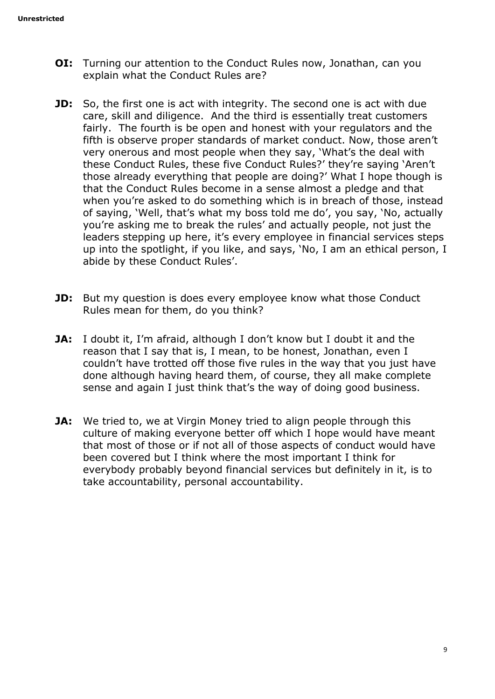- **OI:** Turning our attention to the Conduct Rules now, Jonathan, can you explain what the Conduct Rules are?
- **JD:** So, the first one is act with integrity. The second one is act with due care, skill and diligence. And the third is essentially treat customers fairly. The fourth is be open and honest with your regulators and the fifth is observe proper standards of market conduct. Now, those aren't very onerous and most people when they say, 'What's the deal with these Conduct Rules, these five Conduct Rules?' they're saying 'Aren't those already everything that people are doing?' What I hope though is that the Conduct Rules become in a sense almost a pledge and that when you're asked to do something which is in breach of those, instead of saying, 'Well, that's what my boss told me do', you say, 'No, actually you're asking me to break the rules' and actually people, not just the leaders stepping up here, it's every employee in financial services steps up into the spotlight, if you like, and says, 'No, I am an ethical person, I abide by these Conduct Rules'.
- **JD:** But my question is does every employee know what those Conduct Rules mean for them, do you think?
- **JA:** I doubt it, I'm afraid, although I don't know but I doubt it and the reason that I say that is, I mean, to be honest, Jonathan, even I couldn't have trotted off those five rules in the way that you just have done although having heard them, of course, they all make complete sense and again I just think that's the way of doing good business.
- **JA:** We tried to, we at Virgin Money tried to align people through this culture of making everyone better off which I hope would have meant that most of those or if not all of those aspects of conduct would have been covered but I think where the most important I think for everybody probably beyond financial services but definitely in it, is to take accountability, personal accountability.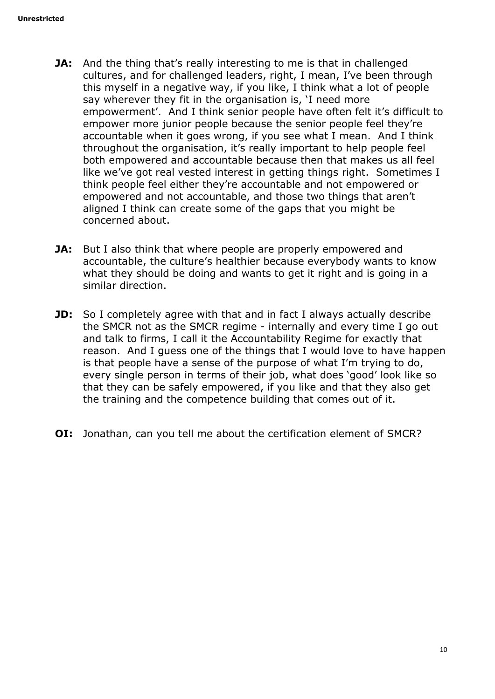- **JA:** And the thing that's really interesting to me is that in challenged cultures, and for challenged leaders, right, I mean, I've been through this myself in a negative way, if you like, I think what a lot of people say wherever they fit in the organisation is, 'I need more empowerment'. And I think senior people have often felt it's difficult to empower more junior people because the senior people feel they're accountable when it goes wrong, if you see what I mean. And I think throughout the organisation, it's really important to help people feel both empowered and accountable because then that makes us all feel like we've got real vested interest in getting things right. Sometimes I think people feel either they're accountable and not empowered or empowered and not accountable, and those two things that aren't aligned I think can create some of the gaps that you might be concerned about.
- **JA:** But I also think that where people are properly empowered and accountable, the culture's healthier because everybody wants to know what they should be doing and wants to get it right and is going in a similar direction.
- **JD:** So I completely agree with that and in fact I always actually describe the SMCR not as the SMCR regime - internally and every time I go out and talk to firms, I call it the Accountability Regime for exactly that reason. And I guess one of the things that I would love to have happen is that people have a sense of the purpose of what I'm trying to do, every single person in terms of their job, what does 'good' look like so that they can be safely empowered, if you like and that they also get the training and the competence building that comes out of it.
- **OI:** Jonathan, can you tell me about the certification element of SMCR?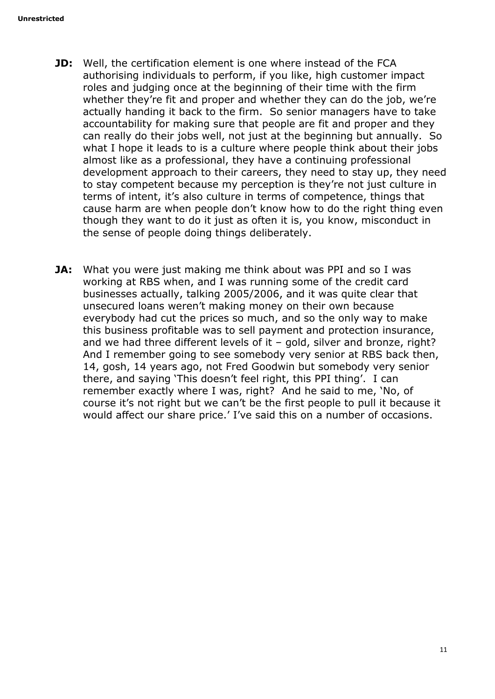- **JD:** Well, the certification element is one where instead of the FCA authorising individuals to perform, if you like, high customer impact roles and judging once at the beginning of their time with the firm whether they're fit and proper and whether they can do the job, we're actually handing it back to the firm. So senior managers have to take accountability for making sure that people are fit and proper and they can really do their jobs well, not just at the beginning but annually. So what I hope it leads to is a culture where people think about their jobs almost like as a professional, they have a continuing professional development approach to their careers, they need to stay up, they need to stay competent because my perception is they're not just culture in terms of intent, it's also culture in terms of competence, things that cause harm are when people don't know how to do the right thing even though they want to do it just as often it is, you know, misconduct in the sense of people doing things deliberately.
- **JA:** What you were just making me think about was PPI and so I was working at RBS when, and I was running some of the credit card businesses actually, talking 2005/2006, and it was quite clear that unsecured loans weren't making money on their own because everybody had cut the prices so much, and so the only way to make this business profitable was to sell payment and protection insurance, and we had three different levels of it – gold, silver and bronze, right? And I remember going to see somebody very senior at RBS back then, 14, gosh, 14 years ago, not Fred Goodwin but somebody very senior there, and saying 'This doesn't feel right, this PPI thing'. I can remember exactly where I was, right? And he said to me, 'No, of course it's not right but we can't be the first people to pull it because it would affect our share price.' I've said this on a number of occasions.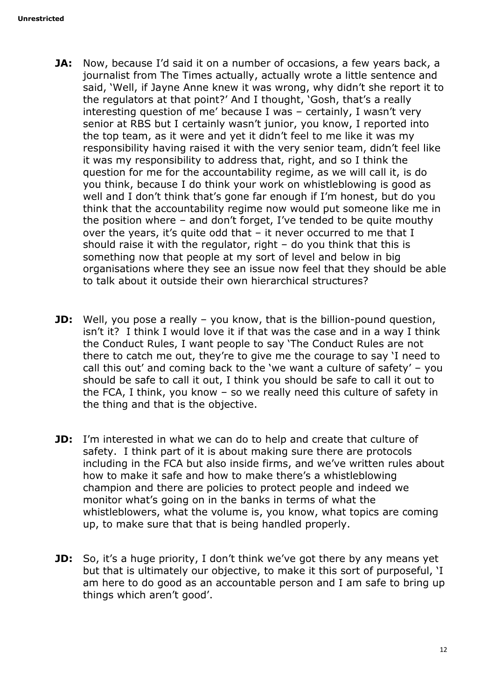- **JA:** Now, because I'd said it on a number of occasions, a few years back, a journalist from The Times actually, actually wrote a little sentence and said, 'Well, if Jayne Anne knew it was wrong, why didn't she report it to the regulators at that point?' And I thought, 'Gosh, that's a really interesting question of me' because I was – certainly, I wasn't very senior at RBS but I certainly wasn't junior, you know, I reported into the top team, as it were and yet it didn't feel to me like it was my responsibility having raised it with the very senior team, didn't feel like it was my responsibility to address that, right, and so I think the question for me for the accountability regime, as we will call it, is do you think, because I do think your work on whistleblowing is good as well and I don't think that's gone far enough if I'm honest, but do you think that the accountability regime now would put someone like me in the position where – and don't forget, I've tended to be quite mouthy over the years, it's quite odd that – it never occurred to me that I should raise it with the regulator, right  $-$  do you think that this is something now that people at my sort of level and below in big organisations where they see an issue now feel that they should be able to talk about it outside their own hierarchical structures?
- **JD:** Well, you pose a really you know, that is the billion-pound question, isn't it? I think I would love it if that was the case and in a way I think the Conduct Rules, I want people to say 'The Conduct Rules are not there to catch me out, they're to give me the courage to say 'I need to call this out' and coming back to the 'we want a culture of safety' – you should be safe to call it out, I think you should be safe to call it out to the FCA, I think, you know – so we really need this culture of safety in the thing and that is the objective.
- **JD:** I'm interested in what we can do to help and create that culture of safety. I think part of it is about making sure there are protocols including in the FCA but also inside firms, and we've written rules about how to make it safe and how to make there's a whistleblowing champion and there are policies to protect people and indeed we monitor what's going on in the banks in terms of what the whistleblowers, what the volume is, you know, what topics are coming up, to make sure that that is being handled properly.
- **JD:** So, it's a huge priority, I don't think we've got there by any means yet but that is ultimately our objective, to make it this sort of purposeful, 'I am here to do good as an accountable person and I am safe to bring up things which aren't good'.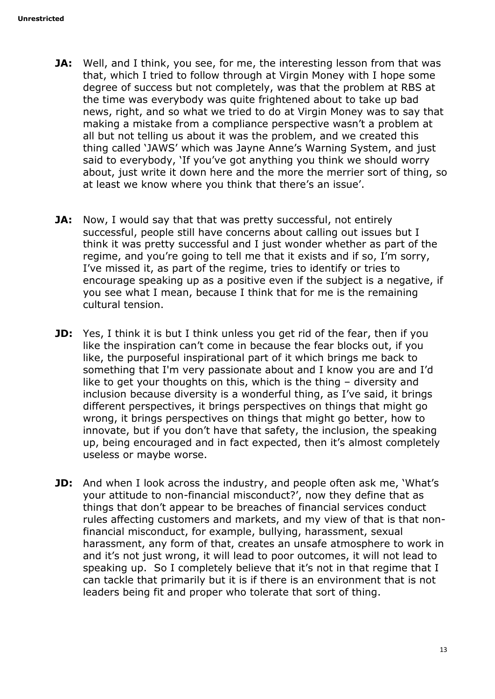- **JA:** Well, and I think, you see, for me, the interesting lesson from that was that, which I tried to follow through at Virgin Money with I hope some degree of success but not completely, was that the problem at RBS at the time was everybody was quite frightened about to take up bad news, right, and so what we tried to do at Virgin Money was to say that making a mistake from a compliance perspective wasn't a problem at all but not telling us about it was the problem, and we created this thing called 'JAWS' which was Jayne Anne's Warning System, and just said to everybody, 'If you've got anything you think we should worry about, just write it down here and the more the merrier sort of thing, so at least we know where you think that there's an issue'.
- **JA:** Now, I would say that that was pretty successful, not entirely successful, people still have concerns about calling out issues but I think it was pretty successful and I just wonder whether as part of the regime, and you're going to tell me that it exists and if so, I'm sorry, I've missed it, as part of the regime, tries to identify or tries to encourage speaking up as a positive even if the subject is a negative, if you see what I mean, because I think that for me is the remaining cultural tension.
- **JD:** Yes, I think it is but I think unless you get rid of the fear, then if you like the inspiration can't come in because the fear blocks out, if you like, the purposeful inspirational part of it which brings me back to something that I'm very passionate about and I know you are and I'd like to get your thoughts on this, which is the thing – diversity and inclusion because diversity is a wonderful thing, as I've said, it brings different perspectives, it brings perspectives on things that might go wrong, it brings perspectives on things that might go better, how to innovate, but if you don't have that safety, the inclusion, the speaking up, being encouraged and in fact expected, then it's almost completely useless or maybe worse.
- **JD:** And when I look across the industry, and people often ask me, 'What's your attitude to non-financial misconduct?', now they define that as things that don't appear to be breaches of financial services conduct rules affecting customers and markets, and my view of that is that nonfinancial misconduct, for example, bullying, harassment, sexual harassment, any form of that, creates an unsafe atmosphere to work in and it's not just wrong, it will lead to poor outcomes, it will not lead to speaking up. So I completely believe that it's not in that regime that I can tackle that primarily but it is if there is an environment that is not leaders being fit and proper who tolerate that sort of thing.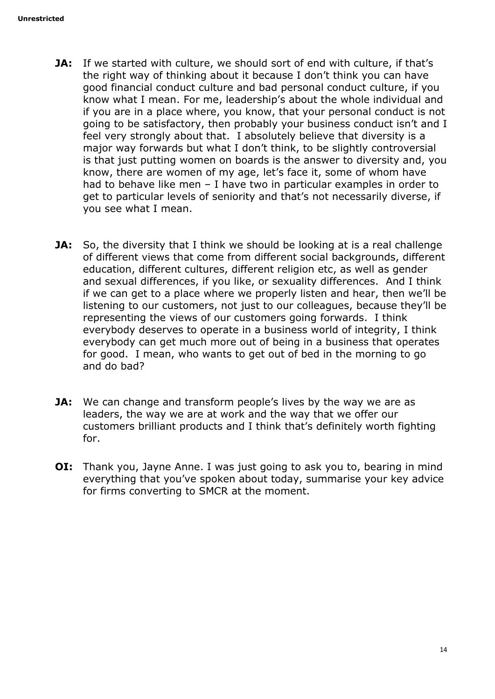- **JA:** If we started with culture, we should sort of end with culture, if that's the right way of thinking about it because I don't think you can have good financial conduct culture and bad personal conduct culture, if you know what I mean. For me, leadership's about the whole individual and if you are in a place where, you know, that your personal conduct is not going to be satisfactory, then probably your business conduct isn't and I feel very strongly about that. I absolutely believe that diversity is a major way forwards but what I don't think, to be slightly controversial is that just putting women on boards is the answer to diversity and, you know, there are women of my age, let's face it, some of whom have had to behave like men – I have two in particular examples in order to get to particular levels of seniority and that's not necessarily diverse, if you see what I mean.
- **JA:** So, the diversity that I think we should be looking at is a real challenge of different views that come from different social backgrounds, different education, different cultures, different religion etc, as well as gender and sexual differences, if you like, or sexuality differences. And I think if we can get to a place where we properly listen and hear, then we'll be listening to our customers, not just to our colleagues, because they'll be representing the views of our customers going forwards. I think everybody deserves to operate in a business world of integrity, I think everybody can get much more out of being in a business that operates for good. I mean, who wants to get out of bed in the morning to go and do bad?
- **JA:** We can change and transform people's lives by the way we are as leaders, the way we are at work and the way that we offer our customers brilliant products and I think that's definitely worth fighting for.
- **OI:** Thank you, Jayne Anne. I was just going to ask you to, bearing in mind everything that you've spoken about today, summarise your key advice for firms converting to SMCR at the moment.